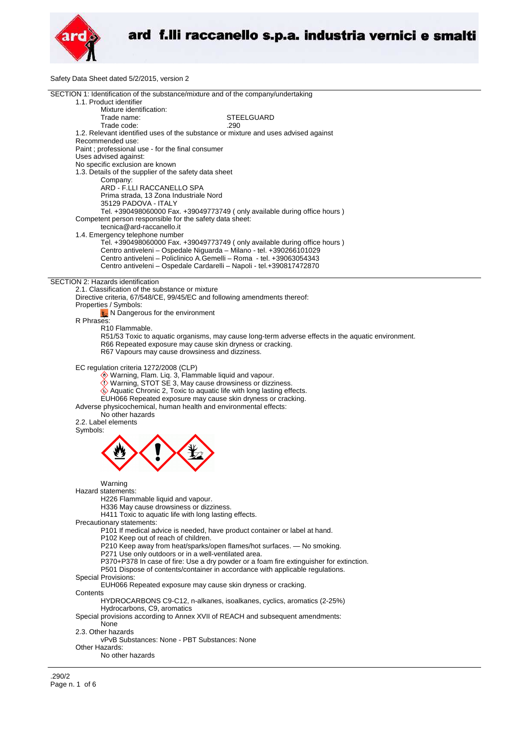

Safety Data Sheet dated 5/2/2015, version 2

| SECTION 1: Identification of the substance/mixture and of the company/undertaking                  |  |
|----------------------------------------------------------------------------------------------------|--|
| 1.1. Product identifier                                                                            |  |
| Mixture identification:                                                                            |  |
| Trade name:<br><b>STEELGUARD</b>                                                                   |  |
| Trade code:<br>.290                                                                                |  |
| 1.2. Relevant identified uses of the substance or mixture and uses advised against                 |  |
| Recommended use:                                                                                   |  |
|                                                                                                    |  |
| Paint ; professional use - for the final consumer                                                  |  |
| Uses advised against:                                                                              |  |
| No specific exclusion are known                                                                    |  |
| 1.3. Details of the supplier of the safety data sheet                                              |  |
| Company:                                                                                           |  |
| ARD - F.LLI RACCANELLO SPA                                                                         |  |
| Prima strada, 13 Zona Industriale Nord                                                             |  |
| 35129 PADOVA - ITALY                                                                               |  |
| Tel. +390498060000 Fax. +39049773749 (only available during office hours)                          |  |
| Competent person responsible for the safety data sheet:                                            |  |
| tecnica@ard-raccanello.it                                                                          |  |
|                                                                                                    |  |
| 1.4. Emergency telephone number                                                                    |  |
| Tel. +390498060000 Fax. +39049773749 (only available during office hours)                          |  |
| Centro antiveleni - Ospedale Niguarda - Milano - tel. +390266101029                                |  |
| Centro antiveleni – Policlinico A.Gemelli – Roma - tel. +39063054343                               |  |
| Centro antiveleni – Ospedale Cardarelli – Napoli - tel.+390817472870                               |  |
|                                                                                                    |  |
| SECTION 2: Hazards identification                                                                  |  |
| 2.1. Classification of the substance or mixture                                                    |  |
| Directive criteria, 67/548/CE, 99/45/EC and following amendments thereof:                          |  |
| Properties / Symbols:                                                                              |  |
|                                                                                                    |  |
| $\bigstar$ N Dangerous for the environment                                                         |  |
| R Phrases:                                                                                         |  |
| R <sub>10</sub> Flammable.                                                                         |  |
| R51/53 Toxic to aquatic organisms, may cause long-term adverse effects in the aquatic environment. |  |
| R66 Repeated exposure may cause skin dryness or cracking.                                          |  |
| R67 Vapours may cause drowsiness and dizziness.                                                    |  |
|                                                                                                    |  |
| EC regulation criteria 1272/2008 (CLP)                                                             |  |
| Warning, Flam. Liq. 3, Flammable liquid and vapour.                                                |  |
|                                                                                                    |  |
| Warning, STOT SE 3, May cause drowsiness or dizziness.                                             |  |
| $\Leftrightarrow$ Aquatic Chronic 2, Toxic to aquatic life with long lasting effects.              |  |
| EUH066 Repeated exposure may cause skin dryness or cracking.                                       |  |
| Adverse physicochemical, human health and environmental effects:                                   |  |
| No other hazards                                                                                   |  |
| 2.2. Label elements                                                                                |  |
| Symbols:                                                                                           |  |
|                                                                                                    |  |
|                                                                                                    |  |
|                                                                                                    |  |
|                                                                                                    |  |
|                                                                                                    |  |
|                                                                                                    |  |
|                                                                                                    |  |
| Warning                                                                                            |  |
| Hazard statements:                                                                                 |  |
| H226 Flammable liquid and vapour.                                                                  |  |
| H336 May cause drowsiness or dizziness.                                                            |  |
| H411 Toxic to aquatic life with long lasting effects.                                              |  |
| Precautionary statements:                                                                          |  |
| P101 If medical advice is needed, have product container or label at hand.                         |  |
|                                                                                                    |  |
| P102 Keep out of reach of children.                                                                |  |
| P210 Keep away from heat/sparks/open flames/hot surfaces. - No smoking.                            |  |
| P271 Use only outdoors or in a well-ventilated area.                                               |  |
| P370+P378 In case of fire: Use a dry powder or a foam fire extinguisher for extinction.            |  |
| P501 Dispose of contents/container in accordance with applicable regulations.                      |  |
| Special Provisions:                                                                                |  |
| EUH066 Repeated exposure may cause skin dryness or cracking.                                       |  |
| Contents                                                                                           |  |
|                                                                                                    |  |
| HYDROCARBONS C9-C12, n-alkanes, isoalkanes, cyclics, aromatics (2-25%)                             |  |
| Hydrocarbons, C9, aromatics                                                                        |  |
| Special provisions according to Annex XVII of REACH and subsequent amendments:                     |  |
| None                                                                                               |  |
| 2.3. Other hazards                                                                                 |  |
| vPvB Substances: None - PBT Substances: None                                                       |  |
| Other Hazards:                                                                                     |  |
| No other hazards                                                                                   |  |
|                                                                                                    |  |
|                                                                                                    |  |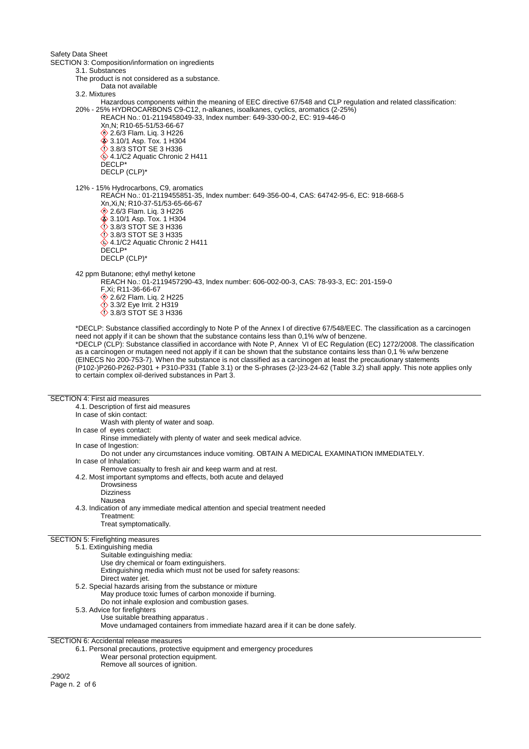Safety Data Sheet

SECTION 3: Composition/information on ingredients 3.1. Substances The product is not considered as a substance. Data not available 3.2. Mixtures Hazardous components within the meaning of EEC directive 67/548 and CLP regulation and related classification: 20% - 25% HYDROCARBONS C9-C12, n-alkanes, isoalkanes, cyclics, aromatics (2-25%) REACH No.: 01-2119458049-33, Index number: 649-330-00-2, EC: 919-446-0 Xn,N; R10-65-51/53-66-67 **<sup>◆</sup>2.6/3 Flam. Liq. 3 H226 3.10/1 Asp. Tox. 1 H304** 3.8/3 STOT SE 3 H336  $4.1/C2$  Aquatic Chronic 2 H411 DECLP\* DECLP (CLP)\* 12% - 15% Hydrocarbons, C9, aromatics REACH No.: 01-2119455851-35, Index number: 649-356-00-4, CAS: 64742-95-6, EC: 918-668-5 Xn,Xi,N; R10-37-51/53-65-66-67 **♦ 2.6/3 Flam. Liq. 3 H226 ♦ 3.10/1 Asp. Tox. 1 H304 12** 3.8/3 STOT SE 3 H336 3.8/3 STOT SE 3 H335  $4.1/C2$  Aquatic Chronic 2 H411 DECLP\* DECLP (CLP)\* 42 ppm Butanone; ethyl methyl ketone REACH No.: 01-2119457290-43, Index number: 606-002-00-3, CAS: 78-93-3, EC: 201-159-0 F,Xi; R11-36-66-67 **♦ 2.6/2 Flam. Lig. 2 H225 3.3/2 Eye Irrit. 2 H319** 3.8/3 STOT SE 3 H336 \*DECLP: Substance classified accordingly to Note P of the Annex I of directive 67/548/EEC. The classification as a carcinogen need not apply if it can be shown that the substance contains less than 0,1% w/w of benzene. \*DECLP (CLP): Substance classified in accordance with Note P, Annex VI of EC Regulation (EC) 1272/2008. The classification as a carcinogen or mutagen need not apply if it can be shown that the substance contains less than 0,1 % w/w benzene (EINECS No 200-753-7). When the substance is not classified as a carcinogen at least the precautionary statements (P102-)P260-P262-P301 + P310-P331 (Table 3.1) or the S-phrases (2-)23-24-62 (Table 3.2) shall apply. This note applies only to certain complex oil-derived substances in Part 3.

## SECTION 4: First aid measures

4.1. Description of first aid measures In case of skin contact: Wash with plenty of water and soap. In case of eyes contact: Rinse immediately with plenty of water and seek medical advice. In case of Ingestion: Do not under any circumstances induce vomiting. OBTAIN A MEDICAL EXAMINATION IMMEDIATELY. In case of Inhalation: Remove casualty to fresh air and keep warm and at rest. 4.2. Most important symptoms and effects, both acute and delayed **Drowsiness Dizziness** Nausea 4.3. Indication of any immediate medical attention and special treatment needed Treatment: Treat symptomatically. SECTION 5: Firefighting measures 5.1. Extinguishing media Suitable extinguishing media: Use dry chemical or foam extinguishers. Extinguishing media which must not be used for safety reasons: Direct water jet. 5.2. Special hazards arising from the substance or mixture May produce toxic fumes of carbon monoxide if burning. Do not inhale explosion and combustion gases. 5.3. Advice for firefighters Use suitable breathing apparatus . Move undamaged containers from immediate hazard area if it can be done safely.

SECTION 6: Accidental release measures

6.1. Personal precautions, protective equipment and emergency procedures Wear personal protection equipment.

Remove all sources of ignition.

.290/2 Page n. 2 of 6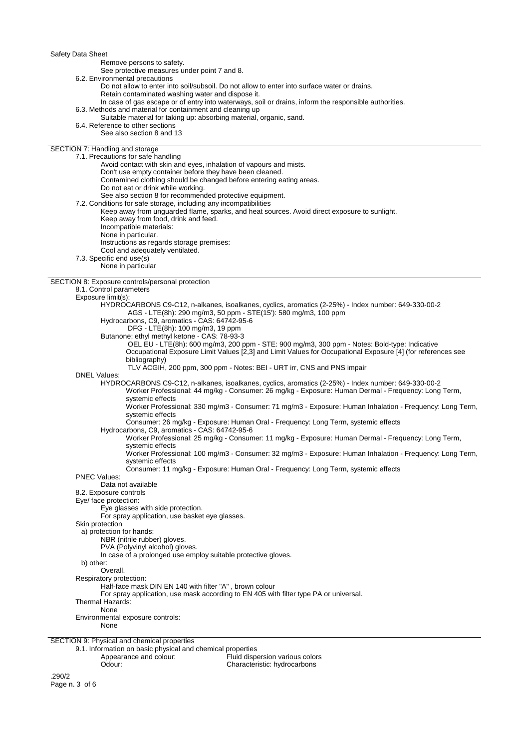Safety Data Sheet

Remove persons to safety.

See protective measures under point 7 and 8.

6.2. Environmental precautions

Do not allow to enter into soil/subsoil. Do not allow to enter into surface water or drains.

- Retain contaminated washing water and dispose it.
- In case of gas escape or of entry into waterways, soil or drains, inform the responsible authorities.
- 6.3. Methods and material for containment and cleaning up
- Suitable material for taking up: absorbing material, organic, sand.
- 6.4. Reference to other sections
- See also section 8 and 13

## SECTION 7: Handling and storage

| SECTION 7: Handling and storage                                                                                              |  |
|------------------------------------------------------------------------------------------------------------------------------|--|
| 7.1. Precautions for safe handling                                                                                           |  |
| Avoid contact with skin and eyes, inhalation of vapours and mists.                                                           |  |
| Don't use empty container before they have been cleaned.                                                                     |  |
| Contamined clothing should be changed before entering eating areas.                                                          |  |
| Do not eat or drink while working.                                                                                           |  |
| See also section 8 for recommended protective equipment.                                                                     |  |
| 7.2. Conditions for safe storage, including any incompatibilities                                                            |  |
| Keep away from unguarded flame, sparks, and heat sources. Avoid direct exposure to sunlight.                                 |  |
| Keep away from food, drink and feed.                                                                                         |  |
| Incompatible materials:                                                                                                      |  |
| None in particular.                                                                                                          |  |
| Instructions as regards storage premises:                                                                                    |  |
| Cool and adequately ventilated.                                                                                              |  |
| 7.3. Specific end use(s)<br>None in particular                                                                               |  |
|                                                                                                                              |  |
| SECTION 8: Exposure controls/personal protection                                                                             |  |
| 8.1. Control parameters                                                                                                      |  |
| Exposure limit(s):                                                                                                           |  |
| HYDROCARBONS C9-C12, n-alkanes, isoalkanes, cyclics, aromatics (2-25%) - Index number: 649-330-00-2                          |  |
| AGS - LTE(8h): 290 mg/m3, 50 ppm - STE(15'): 580 mg/m3, 100 ppm                                                              |  |
| Hydrocarbons, C9, aromatics - CAS: 64742-95-6                                                                                |  |
| DFG - LTE(8h): 100 mg/m3, 19 ppm                                                                                             |  |
| Butanone; ethyl methyl ketone - CAS: 78-93-3                                                                                 |  |
| OEL EU - LTE(8h): 600 mg/m3, 200 ppm - STE: 900 mg/m3, 300 ppm - Notes: Bold-type: Indicative                                |  |
| Occupational Exposure Limit Values [2,3] and Limit Values for Occupational Exposure [4] (for references see                  |  |
| bibliography)                                                                                                                |  |
| TLV ACGIH, 200 ppm, 300 ppm - Notes: BEI - URT irr, CNS and PNS impair                                                       |  |
| <b>DNEL Values:</b>                                                                                                          |  |
| HYDROCARBONS C9-C12, n-alkanes, isoalkanes, cyclics, aromatics (2-25%) - Index number: 649-330-00-2                          |  |
| Worker Professional: 44 mg/kg - Consumer: 26 mg/kg - Exposure: Human Dermal - Frequency: Long Term,                          |  |
| systemic effects                                                                                                             |  |
| Worker Professional: 330 mg/m3 - Consumer: 71 mg/m3 - Exposure: Human Inhalation - Frequency: Long Term,                     |  |
| systemic effects                                                                                                             |  |
| Consumer: 26 mg/kg - Exposure: Human Oral - Frequency: Long Term, systemic effects                                           |  |
| Hydrocarbons, C9, aromatics - CAS: 64742-95-6                                                                                |  |
| Worker Professional: 25 mg/kg - Consumer: 11 mg/kg - Exposure: Human Dermal - Frequency: Long Term,                          |  |
| systemic effects<br>Worker Professional: 100 mg/m3 - Consumer: 32 mg/m3 - Exposure: Human Inhalation - Frequency: Long Term, |  |
| systemic effects                                                                                                             |  |
| Consumer: 11 mg/kg - Exposure: Human Oral - Frequency: Long Term, systemic effects                                           |  |
| <b>PNEC Values:</b>                                                                                                          |  |
| Data not available                                                                                                           |  |
| 8.2. Exposure controls                                                                                                       |  |
| Eye/ face protection:                                                                                                        |  |
| Eye glasses with side protection.                                                                                            |  |
| For spray application, use basket eye glasses.                                                                               |  |
| Skin protection                                                                                                              |  |
| a) protection for hands:                                                                                                     |  |
| NBR (nitrile rubber) gloves.                                                                                                 |  |
| PVA (Polyvinyl alcohol) gloves.                                                                                              |  |
| In case of a prolonged use employ suitable protective gloves.                                                                |  |
| b) other:                                                                                                                    |  |
| Overall.                                                                                                                     |  |
| Respiratory protection:                                                                                                      |  |
| Half-face mask DIN EN 140 with filter "A", brown colour                                                                      |  |
| For spray application, use mask according to EN 405 with filter type PA or universal.                                        |  |
| Thermal Hazards:                                                                                                             |  |
| None<br>Environmental exposure controls:                                                                                     |  |
| None                                                                                                                         |  |
|                                                                                                                              |  |
| SECTION 9: Physical and chemical properties                                                                                  |  |
| 9.1. Information on basic physical and chemical properties                                                                   |  |
| Appearance and colour:<br>Fluid dispersion various colors                                                                    |  |

Odour: Characteristic: hydrocarbons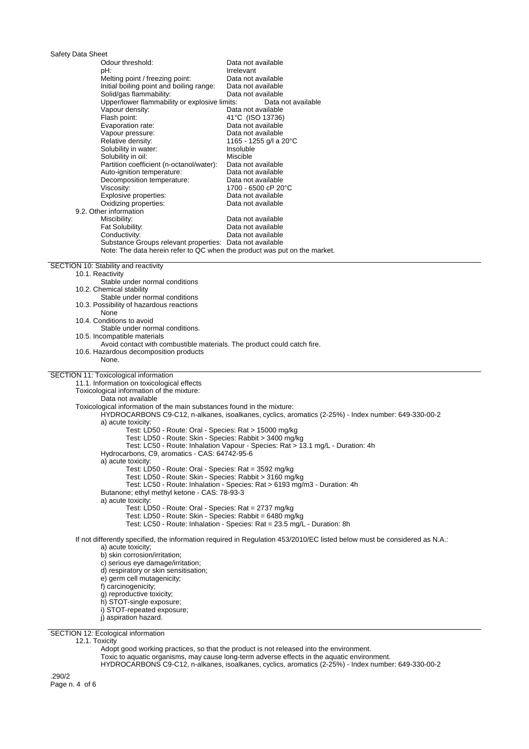Safety Data Sheet Data not available pH: Irrelevant Melting point / freezing point: Data not available Initial boiling point and boiling range: Data not available Solid/gas flammability: Upper/lower flammability or explosive limits: Data not available Vapour density: Data not available Flash point:  $\frac{41^{\circ}C}{150}$  (ISO 13736)<br>Evaporation rate: Data not available Data not available<br>Data not available Vapour pressure:<br>Relative density: 1165 - 1255 g/l a 20°C<br>Insoluble Solubility in water: Solubility in oil: Miscible Miscible<br>
Partition coefficient (n-octanol/water): Data not available Partition coefficient (n-octanol/water): Data not available Auto-ignition temperature: Data not available<br>
Decomposition temperature: Data not available Decomposition temperature: Viscosity: 1700 - 6500 cP 20°C<br>
Explosive properties: Data not available Explosive properties: Oxidizing properties: Data not available 9.2. Other information Miscibility: **Data not available**<br>
Fat Solubility: **Data not available** Data not available Conductivity: Conductivity: Data not available Substance Groups relevant properties: Data not available Note: The data herein refer to QC when the product was put on the market. SECTION 10: Stability and reactivity 10.1. Reactivity Stable under normal conditions 10.2. Chemical stability Stable under normal conditions 10.3. Possibility of hazardous reactions None 10.4. Conditions to avoid Stable under normal conditions. 10.5. Incompatible materials Avoid contact with combustible materials. The product could catch fire. 10.6. Hazardous decomposition products None. SECTION 11: Toxicological information 11.1. Information on toxicological effects Toxicological information of the mixture: Data not available Toxicological information of the main substances found in the mixture: HYDROCARBONS C9-C12, n-alkanes, isoalkanes, cyclics, aromatics (2-25%) - Index number: 649-330-00-2 a) acute toxicity: Test: LD50 - Route: Oral - Species: Rat > 15000 mg/kg Test: LD50 - Route: Skin - Species: Rabbit > 3400 mg/kg Test: LC50 - Route: Inhalation Vapour - Species: Rat > 13.1 mg/L - Duration: 4h Hydrocarbons, C9, aromatics - CAS: 64742-95-6 a) acute toxicity: Test: LD50 - Route: Oral - Species: Rat = 3592 mg/kg Test: LD50 - Route: Skin - Species: Rabbit > 3160 mg/kg Test: LC50 - Route: Inhalation - Species: Rat > 6193 mg/m3 - Duration: 4h Butanone; ethyl methyl ketone - CAS: 78-93-3 a) acute toxicity: Test: LD50 - Route: Oral - Species: Rat = 2737 mg/kg Test: LD50 - Route: Skin - Species: Rabbit = 6480 mg/kg Test: LC50 - Route: Inhalation - Species: Rat = 23.5 mg/L - Duration: 8h If not differently specified, the information required in Regulation 453/2010/EC listed below must be considered as N.A.: a) acute toxicity; b) skin corrosion/irritation; c) serious eye damage/irritation; d) respiratory or skin sensitisation; e) germ cell mutagenicity; f) carcinogenicity; g) reproductive toxicity; h) STOT-single exposure; i) STOT-repeated exposure; j) aspiration hazard. SECTION 12: Ecological information

12.1. Toxicity

Adopt good working practices, so that the product is not released into the environment.

Toxic to aquatic organisms, may cause long-term adverse effects in the aquatic environment.

HYDROCARBONS C9-C12, n-alkanes, isoalkanes, cyclics, aromatics (2-25%) - Index number: 649-330-00-2

.290/2 Page n. 4 of 6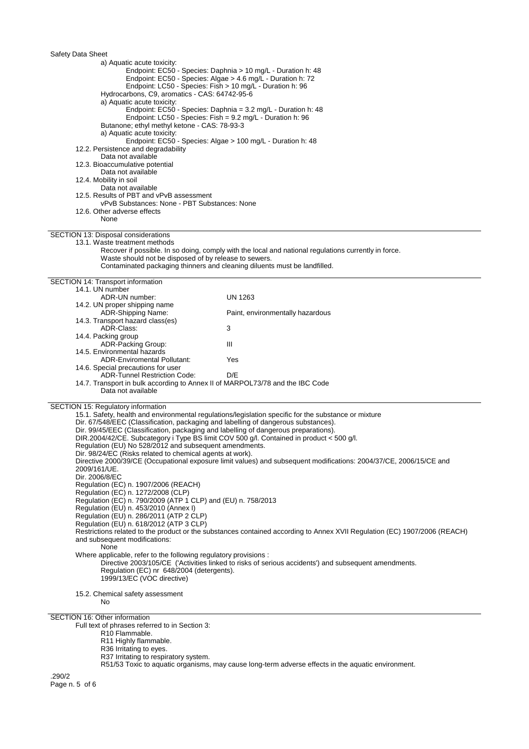| Safety Data Sheet                                                                   |                                                                                                                           |
|-------------------------------------------------------------------------------------|---------------------------------------------------------------------------------------------------------------------------|
| a) Aquatic acute toxicity:                                                          |                                                                                                                           |
|                                                                                     | Endpoint: EC50 - Species: Daphnia > 10 mg/L - Duration h: 48                                                              |
|                                                                                     | Endpoint: EC50 - Species: Algae > 4.6 mg/L - Duration h: 72                                                               |
|                                                                                     | Endpoint: LC50 - Species: Fish > 10 mg/L - Duration h: 96                                                                 |
| Hydrocarbons, C9, aromatics - CAS: 64742-95-6                                       |                                                                                                                           |
| a) Aquatic acute toxicity:                                                          |                                                                                                                           |
|                                                                                     | Endpoint: EC50 - Species: Daphnia = 3.2 mg/L - Duration h: 48                                                             |
|                                                                                     | Endpoint: LC50 - Species: Fish = 9.2 mg/L - Duration h: 96                                                                |
| Butanone; ethyl methyl ketone - CAS: 78-93-3                                        |                                                                                                                           |
| a) Aquatic acute toxicity:                                                          |                                                                                                                           |
|                                                                                     | Endpoint: EC50 - Species: Algae > 100 mg/L - Duration h: 48                                                               |
| 12.2. Persistence and degradability                                                 |                                                                                                                           |
| Data not available                                                                  |                                                                                                                           |
| 12.3. Bioaccumulative potential                                                     |                                                                                                                           |
| Data not available                                                                  |                                                                                                                           |
| 12.4. Mobility in soil                                                              |                                                                                                                           |
| Data not available                                                                  |                                                                                                                           |
| 12.5. Results of PBT and vPvB assessment                                            |                                                                                                                           |
| vPvB Substances: None - PBT Substances: None                                        |                                                                                                                           |
| 12.6. Other adverse effects<br>None                                                 |                                                                                                                           |
|                                                                                     |                                                                                                                           |
| SECTION 13: Disposal considerations                                                 |                                                                                                                           |
| 13.1. Waste treatment methods                                                       |                                                                                                                           |
|                                                                                     | Recover if possible. In so doing, comply with the local and national regulations currently in force.                      |
| Waste should not be disposed of by release to sewers.                               |                                                                                                                           |
|                                                                                     | Contaminated packaging thinners and cleaning diluents must be landfilled.                                                 |
|                                                                                     |                                                                                                                           |
| SECTION 14: Transport information                                                   |                                                                                                                           |
| 14.1. UN number                                                                     |                                                                                                                           |
| ADR-UN number:                                                                      | <b>UN 1263</b>                                                                                                            |
| 14.2. UN proper shipping name                                                       |                                                                                                                           |
| ADR-Shipping Name:                                                                  | Paint, environmentally hazardous                                                                                          |
| 14.3. Transport hazard class(es)                                                    |                                                                                                                           |
| ADR-Class:                                                                          | 3                                                                                                                         |
| 14.4. Packing group                                                                 | Ш                                                                                                                         |
| ADR-Packing Group:<br>14.5. Environmental hazards                                   |                                                                                                                           |
| <b>ADR-Enviromental Pollutant:</b>                                                  | Yes                                                                                                                       |
| 14.6. Special precautions for user                                                  |                                                                                                                           |
| <b>ADR-Tunnel Restriction Code:</b>                                                 | D/E                                                                                                                       |
| 14.7. Transport in bulk according to Annex II of MARPOL73/78 and the IBC Code       |                                                                                                                           |
| Data not available                                                                  |                                                                                                                           |
|                                                                                     |                                                                                                                           |
| SECTION 15: Regulatory information                                                  |                                                                                                                           |
|                                                                                     | 15.1. Safety, health and environmental regulations/legislation specific for the substance or mixture                      |
| Dir. 67/548/EEC (Classification, packaging and labelling of dangerous substances).  |                                                                                                                           |
| Dir. 99/45/EEC (Classification, packaging and labelling of dangerous preparations). |                                                                                                                           |
|                                                                                     | DIR.2004/42/CE. Subcategory i Type BS limit COV 500 g/l. Contained in product < 500 g/l.                                  |
| Regulation (EU) No 528/2012 and subsequent amendments.                              |                                                                                                                           |
| Dir. 98/24/EC (Risks related to chemical agents at work).                           |                                                                                                                           |
| 2009/161/UE.                                                                        | Directive 2000/39/CE (Occupational exposure limit values) and subsequent modifications: 2004/37/CE, 2006/15/CE and        |
| Dir. 2006/8/EC                                                                      |                                                                                                                           |
| Regulation (EC) n. 1907/2006 (REACH)                                                |                                                                                                                           |
| Regulation (EC) n. 1272/2008 (CLP)                                                  |                                                                                                                           |
| Regulation (EC) n. 790/2009 (ATP 1 CLP) and (EU) n. 758/2013                        |                                                                                                                           |
| Regulation (EU) n. 453/2010 (Annex I)                                               |                                                                                                                           |
| Regulation (EU) n. 286/2011 (ATP 2 CLP)                                             |                                                                                                                           |
| Regulation (EU) n. 618/2012 (ATP 3 CLP)                                             |                                                                                                                           |
|                                                                                     | Restrictions related to the product or the substances contained according to Annex XVII Regulation (EC) 1907/2006 (REACH) |
| and subsequent modifications:                                                       |                                                                                                                           |
| None                                                                                |                                                                                                                           |
| Where applicable, refer to the following regulatory provisions :                    |                                                                                                                           |
|                                                                                     | Directive 2003/105/CE ('Activities linked to risks of serious accidents') and subsequent amendments.                      |
|                                                                                     |                                                                                                                           |
| Regulation (EC) nr 648/2004 (detergents).                                           |                                                                                                                           |
| 1999/13/EC (VOC directive)                                                          |                                                                                                                           |
|                                                                                     |                                                                                                                           |
| 15.2. Chemical safety assessment                                                    |                                                                                                                           |
| No.                                                                                 |                                                                                                                           |
|                                                                                     |                                                                                                                           |
| SECTION 16: Other information                                                       |                                                                                                                           |
| Full text of phrases referred to in Section 3:<br>R <sub>10</sub> Flammable.        |                                                                                                                           |

R51/53 Toxic to aquatic organisms, may cause long-term adverse effects in the aquatic environment.

.290/2

R36 Irritating to eyes.

R37 Irritating to respiratory system.